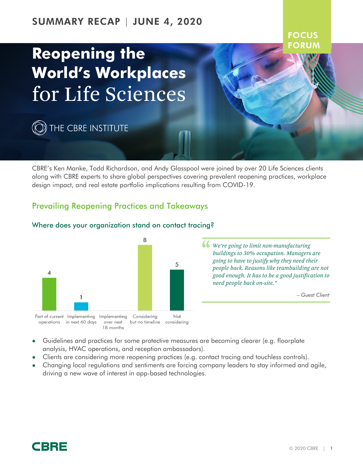# SUMMARY RECAP | JUNE 4, 2020

# **Reopening the World's Workplaces** for Life Sciences

 $\widehat{\mathbb{Q}}$  the cbre institute

CBRE's Ken Manke, Todd Richardson, and Andy Glasspool were joined by over 20 Life Sciences clients along with CBRE experts to share global perspectives covering prevalent reopening practices, workplace design impact, and real estate portfolio implications resulting from COVID-19.

## Prevailing Reopening Practices and Takeaways



#### Where does your organization stand on contact tracing?

*We're going to limit non-manufacturing buildings to 30% occupation. Managers are going to have to justify why they need their people back. Reasons like teambuilding are not good enough. It has to be a good justification to need people back on-site."*

*– Guest Client*

**FOCUS** FORU

- Guidelines and practices for some protective measures are becoming clearer (e.g. floorplate analysis, HVAC operations, and reception ambassadors).
- Clients are considering more reopening practices (e.g. contact tracing and touchless controls).
- Changing local regulations and sentiments are forcing company leaders to stay informed and agile, driving a new wave of interest in app-based technologies.

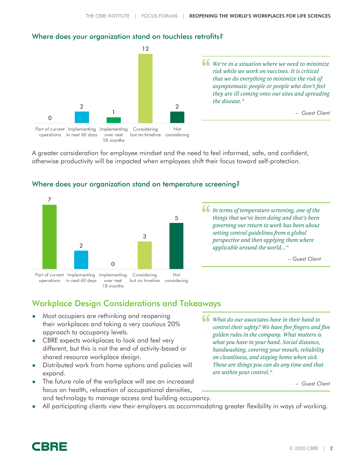#### Where does your organization stand on touchless retrofits?



A greater consideration for employee mindset and the need to feel informed, safe, and confident, otherwise productivity will be impacted when employees shift their focus toward self-protection.



#### Where does your organization stand on temperature screening?

*In terms of temperature screening, one of the things that we've been doing and that's been governing our return to work has been about setting central guidelines from a global perspective and then applying them where applicable around the world..."*

*– Guest Client*

# Workplace Design Considerations and Takeaways

- Most occupiers are rethinking and reopening their workplaces and taking a very cautious 20% approach to occupancy levels.
- CBRE expects workplaces to look and feel very different, but this is not the end of activity-based or shared resource workplace design.
- Distributed work from home options and policies will expand.
- The future role of the workplace will see an increased focus on health, relaxation of occupational densities, and technology to manage access and building occupancy.
- *What do our associates have in their hand to control their safety? We have five fingers and five golden rules in the company. What matters is what you have in your hand. Social distance, handwashing, covering your mouth, reliability on cleanliness, and staying home when sick. These are things you can do any time and that are within your control."*

*– Guest Client*

All participating clients view their employers as accommodating greater flexibility in ways of working.